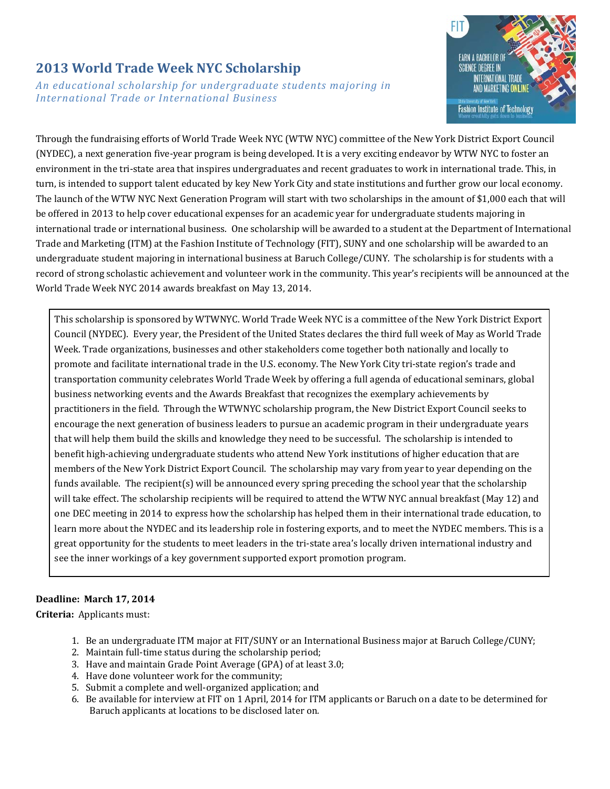## **2013 World Trade Week NYC Scholarship**

*An educational scholarship for undergraduate students majoring in International Trade or International Business*



Through the fundraising efforts of World Trade Week NYC (WTW NYC) committee of the New York District Export Council (NYDEC), a next generation five-year program is being developed. It is a very exciting endeavor by WTW NYC to foster an environment in the tri-state area that inspires undergraduates and recent graduates to work in international trade. This, in turn, is intended to support talent educated by key New York City and state institutions and further grow our local economy. The launch of the WTW NYC Next Generation Program will start with two scholarships in the amount of \$1,000 each that will be offered in 2013 to help cover educational expenses for an academic year for undergraduate students majoring in international trade or international business. One scholarship will be awarded to a student at the Department of International Trade and Marketing (ITM) at the Fashion Institute of Technology (FIT), SUNY and one scholarship will be awarded to an undergraduate student majoring in international business at Baruch College/CUNY. The scholarship is for students with a record of strong scholastic achievement and volunteer work in the community. This year's recipients will be announced at the World Trade Week NYC 2014 awards breakfast on May 13, 2014.

This scholarship is sponsored by WTWNYC. World Trade Week NYC is a committee of the New York District Export Council (NYDEC). Every year, the President of the United States declares the third full week of May as World Trade Week. Trade organizations, businesses and other stakeholders come together both nationally and locally to promote and facilitate international trade in the U.S. economy. The New York City tri-state region's trade and transportation community celebrates World Trade Week by offering a full agenda of educational seminars, global business networking events and the Awards Breakfast that recognizes the exemplary achievements by practitioners in the field. Through the WTWNYC scholarship program, the New District Export Council seeks to encourage the next generation of business leaders to pursue an academic program in their undergraduate years that will help them build the skills and knowledge they need to be successful. The scholarship is intended to benefit high-achieving undergraduate students who attend New York institutions of higher education that are members of the New York District Export Council. The scholarship may vary from year to year depending on the funds available. The recipient(s) will be announced every spring preceding the school year that the scholarship will take effect. The scholarship recipients will be required to attend the WTW NYC annual breakfast (May 12) and one DEC meeting in 2014 to express how the scholarship has helped them in their international trade education, to learn more about the NYDEC and its leadership role in fostering exports, and to meet the NYDEC members. This is a great opportunity for the students to meet leaders in the tri-state area's locally driven international industry and see the inner workings of a key government supported export promotion program.

#### **Deadline: March 17, 2014**

**Criteria:** Applicants must:

- 1. Be an undergraduate ITM major at FIT/SUNY or an International Business major at Baruch College/CUNY;
- 2. Maintain full-time status during the scholarship period;
- 3. Have and maintain Grade Point Average (GPA) of at least 3.0;
- 4. Have done volunteer work for the community;
- 5. Submit a complete and well-organized application; and
- 6. Be available for interview at FIT on 1 April, 2014 for ITM applicants or Baruch on a date to be determined for Baruch applicants at locations to be disclosed later on.